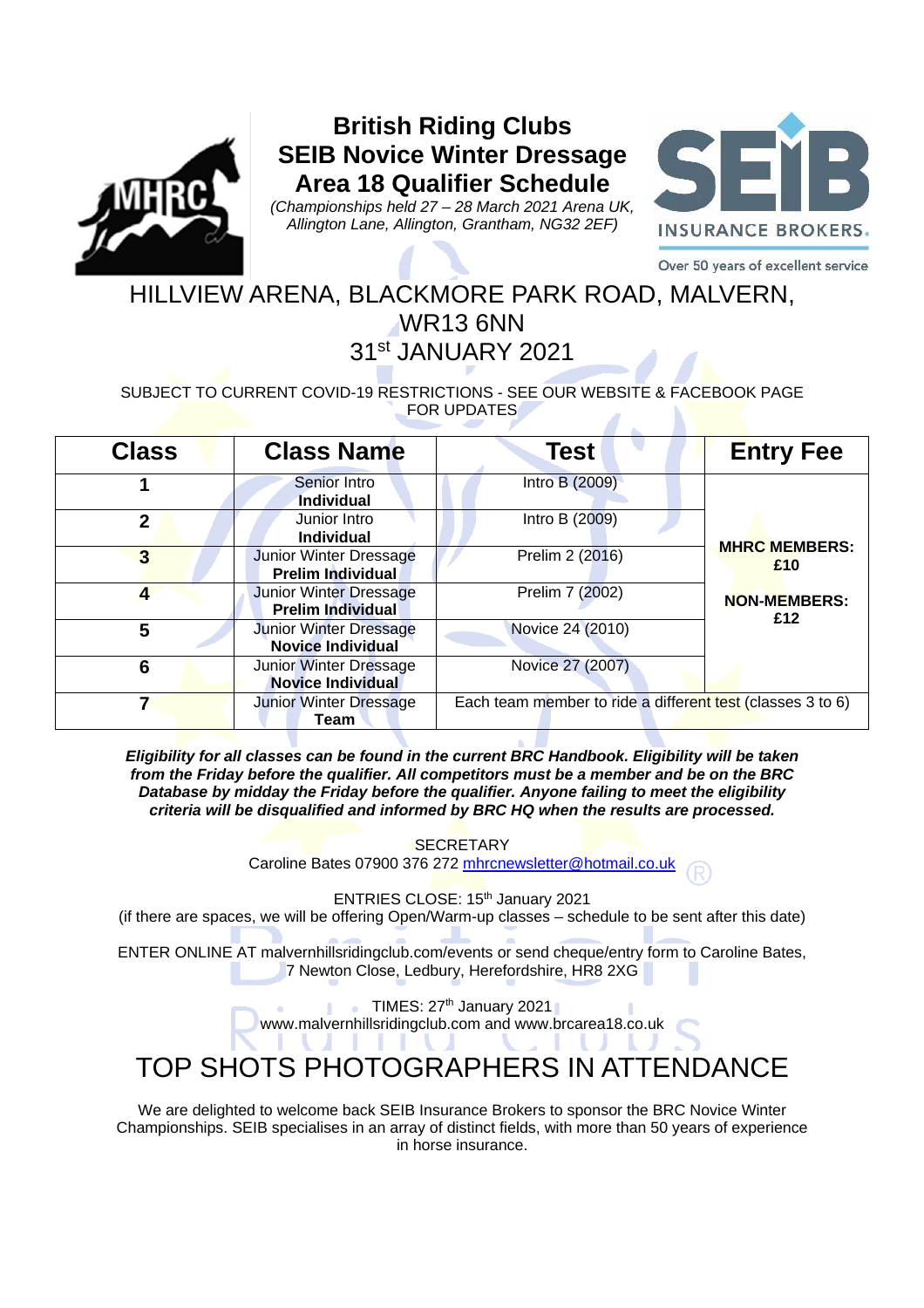

## **British Riding Clubs SEIB Novice Winter Dressage Area 18 Qualifier Schedule**

*(Championships held 27 – 28 March 2021 Arena UK, Allington Lane, Allington, Grantham, NG32 2EF)* 



Over 50 years of excellent service

# HILLVIEW ARENA, BLACKMORE PARK ROAD, MALVERN, WR13 6NN

## 31st JANUARY 2021

### SUBJECT TO CURRENT COVID-19 RESTRICTIONS - SEE OUR WEBSITE & FACEBOOK PAGE FOR UPDATES

| <b>Class</b> | <b>Class Name</b>                                         | <b>Test</b>                                                | <b>Entry Fee</b>           |
|--------------|-----------------------------------------------------------|------------------------------------------------------------|----------------------------|
|              | Senior Intro<br><b>Individual</b>                         | <b>Intro B (2009)</b>                                      |                            |
| $\mathbf 2$  | Junior Intro<br><b>Individual</b>                         | Intro B (2009)                                             | <b>MHRC MEMBERS:</b>       |
| 3            | Junior Winter Dressage<br><b>Prelim Individual</b>        | Prelim 2 (2016)                                            | £10                        |
|              | <b>Junior Winter Dressage</b><br><b>Prelim Individual</b> | Prelim 7 (2002)                                            | <b>NON-MEMBERS:</b><br>£12 |
| 5            | <b>Junior Winter Dressage</b><br><b>Novice Individual</b> | Novice 24 (2010)                                           |                            |
| 6            | Junior Winter Dressage<br>Novice Individual               | Novice 27 (2007)                                           |                            |
|              | <b>Junior Winter Dressage</b><br>Team                     | Each team member to ride a different test (classes 3 to 6) |                            |

*Eligibility for all classes can be found in the current BRC Handbook. Eligibility will be taken from the Friday before the qualifier. All competitors must be a member and be on the BRC Database by midday the Friday before the qualifier. Anyone failing to meet the eligibility criteria will be disqualified and informed by BRC HQ when the results are processed.* 

> **SECRETARY** Caroline Bates 07900 376 272 mhrcnewsletter@hotmail.co.uk

> > ENTRIES CLOSE: 15<sup>th</sup> January 2021

(if there are spaces, we will be offering Open/Warm-up classes – schedule to be sent after this date)

ENTER ONLINE AT malvernhillsridingclub.com/events or send cheque/entry form to Caroline Bates, 7 Newton Close, Ledbury, Herefordshire, HR8 2XG

> TIMES:  $27<sup>th</sup>$  January 2021 www.malvernhillsridingclub.com and www.brcarea18.co.uk

## TOP SHOTS PHOTOGRAPHERS IN ATTENDANCE

We are delighted to welcome back SEIB Insurance Brokers to sponsor the BRC Novice Winter Championships. SEIB specialises in an array of distinct fields, with more than 50 years of experience in horse insurance.